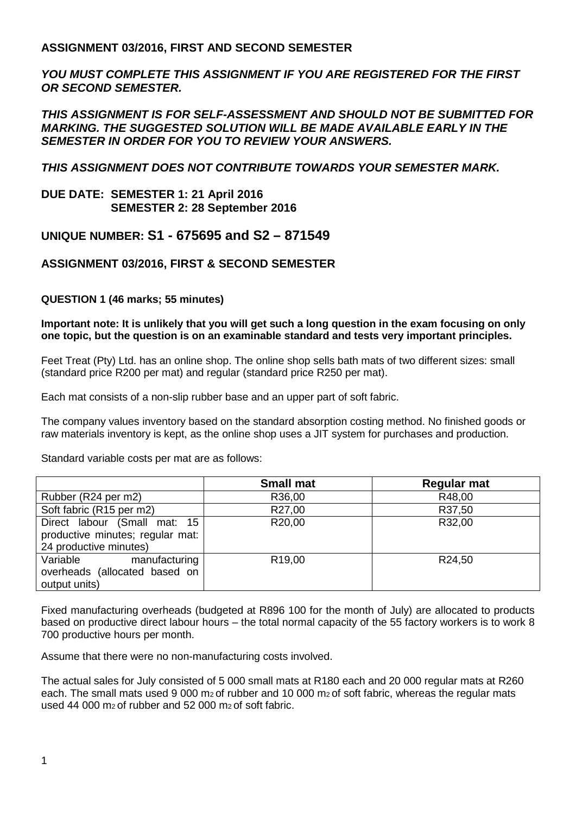## **ASSIGNMENT 03/2016, FIRST AND SECOND SEMESTER**

*YOU MUST COMPLETE THIS ASSIGNMENT IF YOU ARE REGISTERED FOR THE FIRST OR SECOND SEMESTER.* 

*THIS ASSIGNMENT IS FOR SELF-ASSESSMENT AND SHOULD NOT BE SUBMITTED FOR MARKING. THE SUGGESTED SOLUTION WILL BE MADE AVAILABLE EARLY IN THE SEMESTER IN ORDER FOR YOU TO REVIEW YOUR ANSWERS.* 

*THIS ASSIGNMENT DOES NOT CONTRIBUTE TOWARDS YOUR SEMESTER MARK.* 

## **DUE DATE: SEMESTER 1: 21 April 2016 SEMESTER 2: 28 September 2016**

## **UNIQUE NUMBER: S1 - 675695 and S2 – 871549**

## **ASSIGNMENT 03/2016, FIRST & SECOND SEMESTER**

## **QUESTION 1 (46 marks; 55 minutes)**

**Important note: It is unlikely that you will get such a long question in the exam focusing on only one topic, but the question is on an examinable standard and tests very important principles.** 

Feet Treat (Pty) Ltd. has an online shop. The online shop sells bath mats of two different sizes: small (standard price R200 per mat) and regular (standard price R250 per mat).

Each mat consists of a non-slip rubber base and an upper part of soft fabric.

The company values inventory based on the standard absorption costing method. No finished goods or raw materials inventory is kept, as the online shop uses a JIT system for purchases and production.

Standard variable costs per mat are as follows:

|                                  | <b>Small mat</b>   | Regular mat |
|----------------------------------|--------------------|-------------|
| Rubber (R24 per m2)              | R36,00             | R48,00      |
| Soft fabric (R15 per m2)         | R27,00             | R37,50      |
| Direct labour (Small mat: 15     | R20,00             | R32,00      |
| productive minutes; regular mat: |                    |             |
| 24 productive minutes)           |                    |             |
| Variable<br>manufacturing        | R <sub>19,00</sub> | R24,50      |
| overheads (allocated based on    |                    |             |
| output units)                    |                    |             |

Fixed manufacturing overheads (budgeted at R896 100 for the month of July) are allocated to products based on productive direct labour hours – the total normal capacity of the 55 factory workers is to work 8 700 productive hours per month.

Assume that there were no non-manufacturing costs involved.

The actual sales for July consisted of 5 000 small mats at R180 each and 20 000 regular mats at R260 each. The small mats used 9 000 m<sub>2</sub> of rubber and 10 000 m<sub>2</sub> of soft fabric, whereas the regular mats used 44 000 m2 of rubber and 52 000 m2 of soft fabric.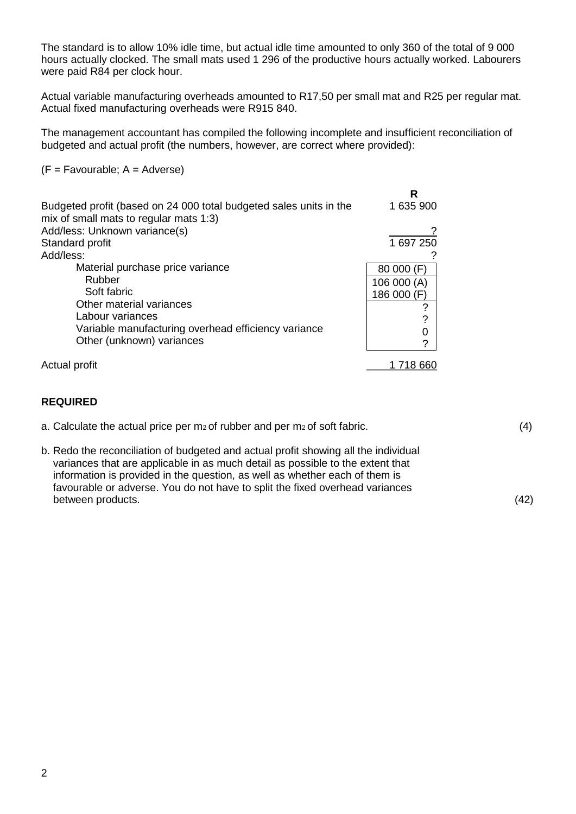The standard is to allow 10% idle time, but actual idle time amounted to only 360 of the total of 9 000 hours actually clocked. The small mats used 1 296 of the productive hours actually worked. Labourers were paid R84 per clock hour.

Actual variable manufacturing overheads amounted to R17,50 per small mat and R25 per regular mat. Actual fixed manufacturing overheads were R915 840.

The management accountant has compiled the following incomplete and insufficient reconciliation of budgeted and actual profit (the numbers, however, are correct where provided):

 $(F = Favourable; A = Adverse)$ 

|                                                                                                              | R           |
|--------------------------------------------------------------------------------------------------------------|-------------|
| Budgeted profit (based on 24 000 total budgeted sales units in the<br>mix of small mats to regular mats 1:3) | 1 635 900   |
| Add/less: Unknown variance(s)                                                                                |             |
| Standard profit                                                                                              | 1 697 250   |
| Add/less:                                                                                                    |             |
| Material purchase price variance                                                                             | 80 000 (F)  |
| Rubber                                                                                                       | 106 000 (A) |
| Soft fabric                                                                                                  | 186 000 (F) |
| Other material variances                                                                                     | ?           |
| Labour variances                                                                                             | ?           |
| Variable manufacturing overhead efficiency variance                                                          | 0           |
| Other (unknown) variances                                                                                    | ?           |
| Actual profit                                                                                                | 718 660     |
|                                                                                                              |             |

### **REQUIRED**

- a. Calculate the actual price per m<sub>2</sub> of rubber and per m<sub>2</sub> of soft fabric.  $(4)$
- b. Redo the reconciliation of budgeted and actual profit showing all the individual variances that are applicable in as much detail as possible to the extent that information is provided in the question, as well as whether each of them is favourable or adverse. You do not have to split the fixed overhead variances between products. (42)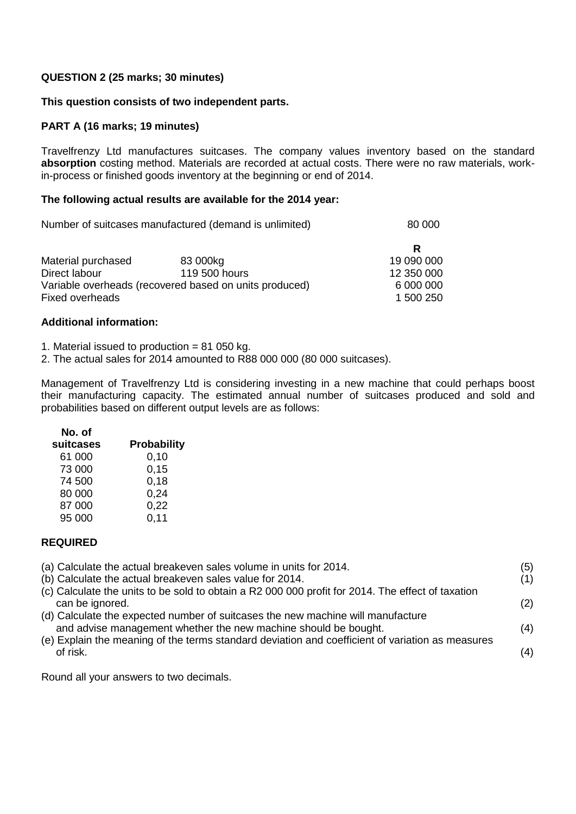## **QUESTION 2 (25 marks; 30 minutes)**

### **This question consists of two independent parts.**

### **PART A (16 marks; 19 minutes)**

Travelfrenzy Ltd manufactures suitcases. The company values inventory based on the standard **absorption** costing method. Materials are recorded at actual costs. There were no raw materials, workin-process or finished goods inventory at the beginning or end of 2014.

### **The following actual results are available for the 2014 year:**

Number of suitcases manufactured (demand is unlimited) 80 000

|                                                        |               | R          |
|--------------------------------------------------------|---------------|------------|
| Material purchased                                     | 83 000kg      | 19 090 000 |
| Direct labour                                          | 119 500 hours | 12 350 000 |
| Variable overheads (recovered based on units produced) |               | 6 000 000  |
| <b>Fixed overheads</b>                                 |               | 1 500 250  |

### **Additional information:**

1. Material issued to production = 81 050 kg.

2. The actual sales for 2014 amounted to R88 000 000 (80 000 suitcases).

Management of Travelfrenzy Ltd is considering investing in a new machine that could perhaps boost their manufacturing capacity. The estimated annual number of suitcases produced and sold and probabilities based on different output levels are as follows:

# **No. of**

| NO. Of    |                    |
|-----------|--------------------|
| suitcases | <b>Probability</b> |
| 61 000    | 0,10               |
| 73 000    | 0.15               |
| 74 500    | 0,18               |
| 80 000    | 0,24               |
| 87 000    | 0,22               |
| 95 000    | 0.11               |
|           |                    |

### **REQUIRED**

| (a) Calculate the actual breakeven sales volume in units for 2014.<br>(b) Calculate the actual breakeven sales value for 2014.<br>(c) Calculate the units to be sold to obtain a R2 000 000 profit for 2014. The effect of taxation<br>can be ignored.<br>(d) Calculate the expected number of suitcases the new machine will manufacture<br>and advise management whether the new machine should be bought.<br>(e) Explain the meaning of the terms standard deviation and coefficient of variation as measures<br>of risk. | (5)<br>(1)<br>(2)<br>(4)<br>(4) |
|------------------------------------------------------------------------------------------------------------------------------------------------------------------------------------------------------------------------------------------------------------------------------------------------------------------------------------------------------------------------------------------------------------------------------------------------------------------------------------------------------------------------------|---------------------------------|
|                                                                                                                                                                                                                                                                                                                                                                                                                                                                                                                              |                                 |

Round all your answers to two decimals.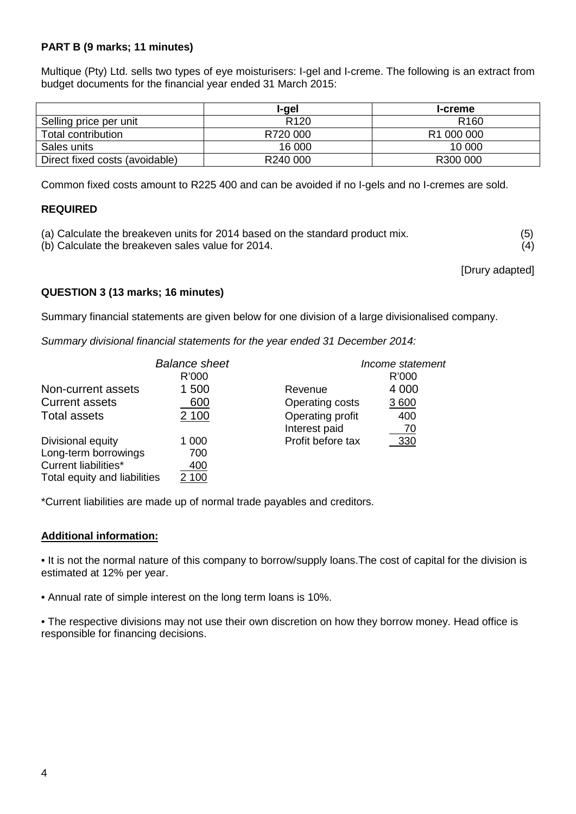## **PART B (9 marks; 11 minutes)**

Multique (Pty) Ltd. sells two types of eye moisturisers: I-gel and I-creme. The following is an extract from budget documents for the financial year ended 31 March 2015:

|                                | l-gel                | <b>I-creme</b>   |
|--------------------------------|----------------------|------------------|
| Selling price per unit         | R <sub>120</sub>     | R <sub>160</sub> |
| Total contribution             | R720 000             | R1 000 000       |
| Sales units                    | 16 000               | 10 000           |
| Direct fixed costs (avoidable) | R <sub>240</sub> 000 | R300 000         |

Common fixed costs amount to R225 400 and can be avoided if no I-gels and no I-cremes are sold.

## **REQUIRED**

- (a) Calculate the breakeven units for 2014 based on the standard product mix. (5)
- (b) Calculate the breakeven sales value for 2014. (4)

[Drury adapted]

## **QUESTION 3 (13 marks; 16 minutes)**

Summary financial statements are given below for one division of a large divisionalised company.

*Summary divisional financial statements for the year ended 31 December 2014:*

|                              | <b>Balance sheet</b> |                   | Income statement |
|------------------------------|----------------------|-------------------|------------------|
|                              | R'000                |                   | R'000            |
| Non-current assets           | 1 500                | Revenue           | 4 0 0 0          |
| <b>Current assets</b>        | 600                  | Operating costs   | 3 600            |
| <b>Total assets</b>          | 2 100                | Operating profit  | 400              |
|                              |                      | Interest paid     | 70               |
| Divisional equity            | 1 000                | Profit before tax | 330              |
| Long-term borrowings         | 700                  |                   |                  |
| Current liabilities*         | 400                  |                   |                  |
| Total equity and liabilities | 2 100                |                   |                  |

\*Current liabilities are made up of normal trade payables and creditors.

### **Additional information:**

• It is not the normal nature of this company to borrow/supply loans.The cost of capital for the division is estimated at 12% per year.

• Annual rate of simple interest on the long term loans is 10%.

• The respective divisions may not use their own discretion on how they borrow money. Head office is responsible for financing decisions.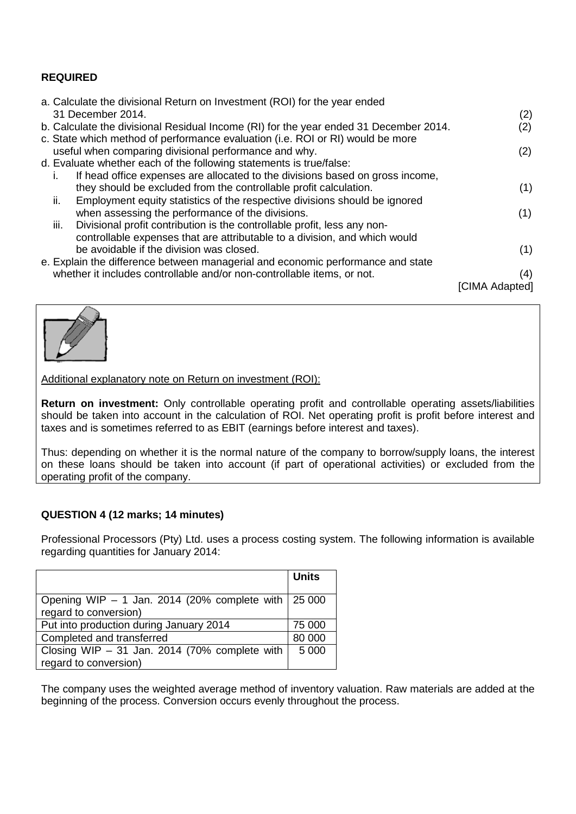## **REQUIRED**

| a. Calculate the divisional Return on Investment (ROI) for the year ended             |                |
|---------------------------------------------------------------------------------------|----------------|
| 31 December 2014.                                                                     | (2)            |
| b. Calculate the divisional Residual Income (RI) for the year ended 31 December 2014. | (2)            |
| c. State which method of performance evaluation (i.e. ROI or RI) would be more        |                |
| useful when comparing divisional performance and why.                                 | (2)            |
| d. Evaluate whether each of the following statements is true/false:                   |                |
| If head office expenses are allocated to the divisions based on gross income,<br>L.   |                |
| they should be excluded from the controllable profit calculation.                     | (1)            |
| ii.<br>Employment equity statistics of the respective divisions should be ignored     |                |
| when assessing the performance of the divisions.                                      | (1)            |
| iii.<br>Divisional profit contribution is the controllable profit, less any non-      |                |
| controllable expenses that are attributable to a division, and which would            |                |
| be avoidable if the division was closed.                                              | (1)            |
| e. Explain the difference between managerial and economic performance and state       |                |
| whether it includes controllable and/or non-controllable items, or not.               | (4)            |
|                                                                                       |                |
|                                                                                       | ICIMA Adapted1 |



Additional explanatory note on Return on investment (ROI):

**Return on investment:** Only controllable operating profit and controllable operating assets/liabilities should be taken into account in the calculation of ROI. Net operating profit is profit before interest and taxes and is sometimes referred to as EBIT (earnings before interest and taxes).

Thus: depending on whether it is the normal nature of the company to borrow/supply loans, the interest on these loans should be taken into account (if part of operational activities) or excluded from the operating profit of the company.

## **QUESTION 4 (12 marks; 14 minutes)**

Professional Processors (Pty) Ltd. uses a process costing system. The following information is available regarding quantities for January 2014:

|                                                               | <b>Units</b> |
|---------------------------------------------------------------|--------------|
|                                                               |              |
| Opening WIP $-$ 1 Jan. 2014 (20% complete with $\vert$ 25 000 |              |
| regard to conversion)                                         |              |
| Put into production during January 2014                       | 75 000       |
| Completed and transferred                                     | 80 000       |
| Closing WIP $-$ 31 Jan. 2014 (70% complete with               | 5 0 0 0      |
| regard to conversion)                                         |              |

The company uses the weighted average method of inventory valuation. Raw materials are added at the beginning of the process. Conversion occurs evenly throughout the process.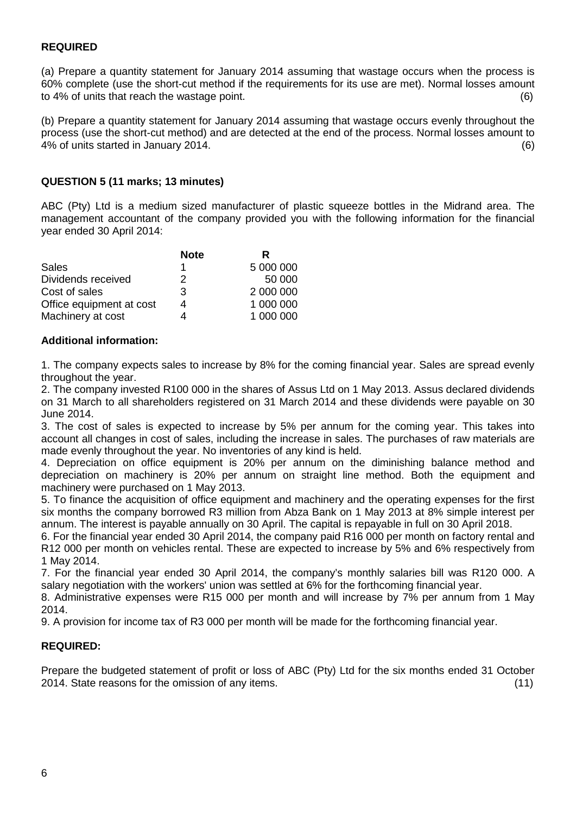## **REQUIRED**

(a) Prepare a quantity statement for January 2014 assuming that wastage occurs when the process is 60% complete (use the short-cut method if the requirements for its use are met). Normal losses amount to 4% of units that reach the wastage point. (6)

(b) Prepare a quantity statement for January 2014 assuming that wastage occurs evenly throughout the process (use the short-cut method) and are detected at the end of the process. Normal losses amount to 4% of units started in January 2014. (6)

### **QUESTION 5 (11 marks; 13 minutes)**

ABC (Pty) Ltd is a medium sized manufacturer of plastic squeeze bottles in the Midrand area. The management accountant of the company provided you with the following information for the financial year ended 30 April 2014:

|                          | <b>Note</b> | R         |
|--------------------------|-------------|-----------|
| Sales                    |             | 5 000 000 |
| Dividends received       | 2           | 50 000    |
| Cost of sales            | 3           | 2 000 000 |
| Office equipment at cost |             | 1 000 000 |
| Machinery at cost        |             | 1 000 000 |

### **Additional information:**

1. The company expects sales to increase by 8% for the coming financial year. Sales are spread evenly throughout the year.

2. The company invested R100 000 in the shares of Assus Ltd on 1 May 2013. Assus declared dividends on 31 March to all shareholders registered on 31 March 2014 and these dividends were payable on 30 June 2014.

3. The cost of sales is expected to increase by 5% per annum for the coming year. This takes into account all changes in cost of sales, including the increase in sales. The purchases of raw materials are made evenly throughout the year. No inventories of any kind is held.

4. Depreciation on office equipment is 20% per annum on the diminishing balance method and depreciation on machinery is 20% per annum on straight line method. Both the equipment and machinery were purchased on 1 May 2013.

5. To finance the acquisition of office equipment and machinery and the operating expenses for the first six months the company borrowed R3 million from Abza Bank on 1 May 2013 at 8% simple interest per annum. The interest is payable annually on 30 April. The capital is repayable in full on 30 April 2018.

6. For the financial year ended 30 April 2014, the company paid R16 000 per month on factory rental and R12 000 per month on vehicles rental. These are expected to increase by 5% and 6% respectively from 1 May 2014.

7. For the financial year ended 30 April 2014, the company's monthly salaries bill was R120 000. A salary negotiation with the workers' union was settled at 6% for the forthcoming financial year.

8. Administrative expenses were R15 000 per month and will increase by 7% per annum from 1 May 2014.

9. A provision for income tax of R3 000 per month will be made for the forthcoming financial year.

### **REQUIRED:**

Prepare the budgeted statement of profit or loss of ABC (Pty) Ltd for the six months ended 31 October 2014. State reasons for the omission of any items. (11)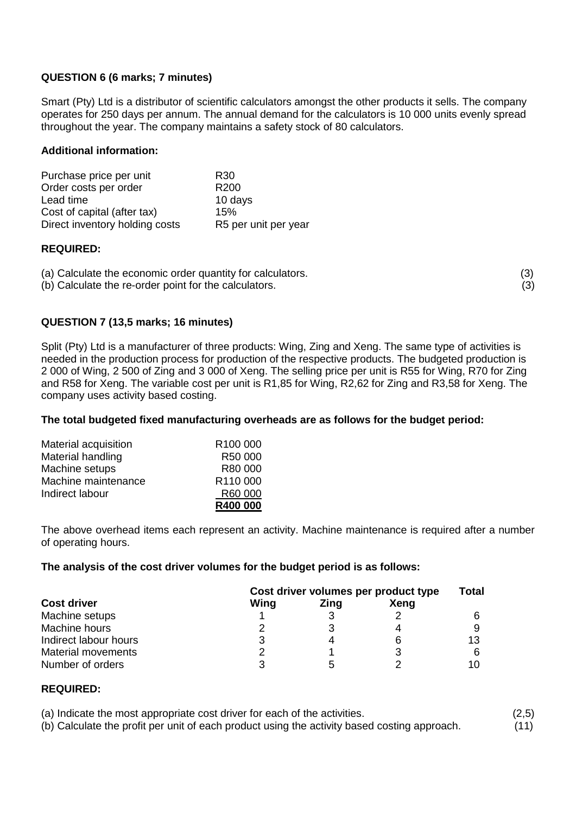## **QUESTION 6 (6 marks; 7 minutes)**

Smart (Pty) Ltd is a distributor of scientific calculators amongst the other products it sells. The company operates for 250 days per annum. The annual demand for the calculators is 10 000 units evenly spread throughout the year. The company maintains a safety stock of 80 calculators.

### **Additional information:**

| Purchase price per unit        | R30                  |
|--------------------------------|----------------------|
| Order costs per order          | R <sub>200</sub>     |
| Lead time                      | 10 days              |
| Cost of capital (after tax)    | 15%                  |
| Direct inventory holding costs | R5 per unit per year |

### **REQUIRED:**

(a) Calculate the economic order quantity for calculators. (3)

(b) Calculate the re-order point for the calculators. (3)

## **QUESTION 7 (13,5 marks; 16 minutes)**

Split (Pty) Ltd is a manufacturer of three products: Wing, Zing and Xeng. The same type of activities is needed in the production process for production of the respective products. The budgeted production is 2 000 of Wing, 2 500 of Zing and 3 000 of Xeng. The selling price per unit is R55 for Wing, R70 for Zing and R58 for Xeng. The variable cost per unit is R1,85 for Wing, R2,62 for Zing and R3,58 for Xeng. The company uses activity based costing.

### **The total budgeted fixed manufacturing overheads are as follows for the budget period:**

| Material acquisition | R <sub>100</sub> 000 |
|----------------------|----------------------|
| Material handling    | R <sub>50</sub> 000  |
| Machine setups       | R80 000              |
| Machine maintenance  | R <sub>110</sub> 000 |
| Indirect labour      | R60 000              |
|                      | R400 000             |

The above overhead items each represent an activity. Machine maintenance is required after a number of operating hours.

### **The analysis of the cost driver volumes for the budget period is as follows:**

| <b>Cost driver</b>    | Cost driver volumes per product type |      |             | Total |
|-----------------------|--------------------------------------|------|-------------|-------|
|                       | Wing                                 | Zing | <b>Xeng</b> |       |
| Machine setups        |                                      |      |             |       |
| Machine hours         |                                      |      |             |       |
| Indirect labour hours |                                      |      | 6           | 13    |
| Material movements    |                                      |      |             |       |
| Number of orders      |                                      | h    |             | 10    |

### **REQUIRED:**

(a) Indicate the most appropriate cost driver for each of the activities. (2,5)<br>(b) Calculate the profit per unit of each product using the activity based costing approach. (11) (b) Calculate the profit per unit of each product using the activity based costing approach.